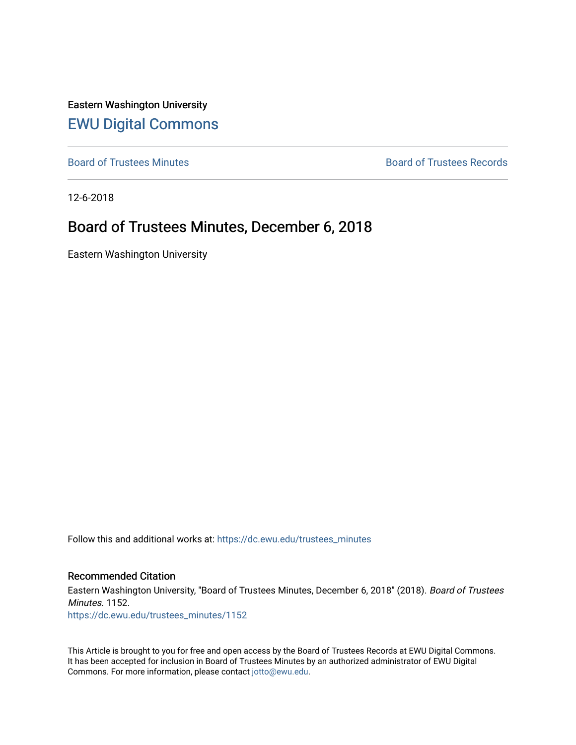Eastern Washington University [EWU Digital Commons](https://dc.ewu.edu/)

[Board of Trustees Minutes](https://dc.ewu.edu/trustees_minutes) **Board of Trustees Records Board of Trustees Records** 

12-6-2018

## Board of Trustees Minutes, December 6, 2018

Eastern Washington University

Follow this and additional works at: [https://dc.ewu.edu/trustees\\_minutes](https://dc.ewu.edu/trustees_minutes?utm_source=dc.ewu.edu%2Ftrustees_minutes%2F1152&utm_medium=PDF&utm_campaign=PDFCoverPages) 

#### Recommended Citation

Eastern Washington University, "Board of Trustees Minutes, December 6, 2018" (2018). Board of Trustees Minutes. 1152.

[https://dc.ewu.edu/trustees\\_minutes/1152](https://dc.ewu.edu/trustees_minutes/1152?utm_source=dc.ewu.edu%2Ftrustees_minutes%2F1152&utm_medium=PDF&utm_campaign=PDFCoverPages) 

This Article is brought to you for free and open access by the Board of Trustees Records at EWU Digital Commons. It has been accepted for inclusion in Board of Trustees Minutes by an authorized administrator of EWU Digital Commons. For more information, please contact [jotto@ewu.edu.](mailto:jotto@ewu.edu)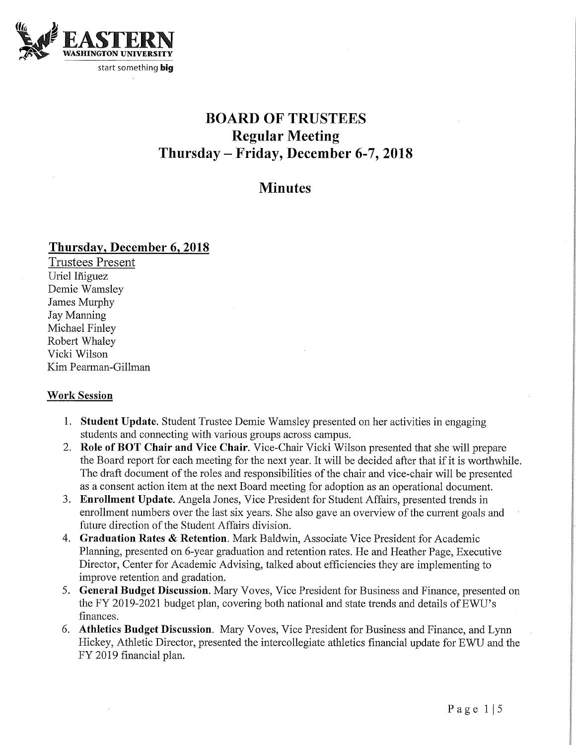

# BOARD OF TRUSTEES **Regular Meeting** Thursday - Friday, December 6-7, 2018

## **Minutes**

## Thursday, December 6, 2018

Trustees Present Uriel Iñiguez Demie Wamsley James Murphy Jay Manning Define Wantsley<br>James Murphy<br>Jay Manning<br>Michael Finley<br>Robert Whaley<br>Vicki Wilson Michael Finley Vicki Wilson Kim Pearman-Gillman

## Work Session

- 1. Student Update. Student Trustee Demie Wamsley presented on her activities in engaging students and connecting with various groups across campus.
- 2. Role of BOT Chair and Vice Chair. Vice-Chair Vicki Wilson presented that she will prepare the Board report for each meeting for the next year. It will be decided after that if it is worthwhile. The draft document of the roles and responsibilities of the chair and vice-chair will be presented as a consent action item at the next Board meeting for adoption as an operational document.
- 3. Enrollment Update. Angela Jones, Vice President for Student Affairs, presented trends in enrollment numbers over the last six years. She also gave an overview of the current goals and future direction of the Student Affairs division.
- 4. Graduation Rates & Retention. Mark Baldwin, Associate Vice President for Academic Plamiing, presented on 6-year graduation and retention rates. He and Heather Page, Executive Director, Center for Academic Advising, talked about efficiencies they are implementing to improve retention and gradation.
- 5. General Budget Discussion. Mary Voves, Vice President for Business and Finance, presented on the FY 2019-2021 budget plan, covering both national and state trends and details of EWU's finances.
- 6. Athletics Budget Discussion. Mary Voves, Vice President for Business and Finance, and Lynn Hickey, Athletic Director, presented the intercollegiate athletics financial update for EWU and the FY 2019 financial plan.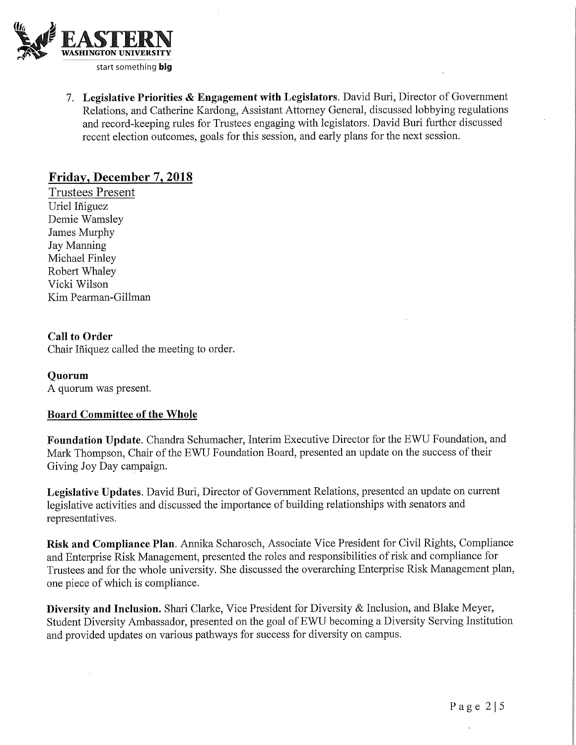

7. Legislative Priorities & Engagement with Legislators. David Buri, Director of Government Relations, and Catherine Kardong, Assistant Attorney General, discussed lobbying regulations and record-keeping mles for Trustees engaging with legislators. David Buri further discussed recent election outcomes, goals for this session, and early plans for the next session.

## Friday, December 7,2018

Trustees Present Uriel Iniguez Demie Wamsley James Murphy Jay Manning Michael Finley Robert Whaley Vicki Wilson Kim Pearman-Gillman

## Call to Order

Chair Iñiquez called the meeting to order.

## Quorum

A quorum was present.

## Board Committee of the Whole

Foundation Update. Chandra Schumacher, Interim Executive Director for the EWU Foundation, and Mark Thompson, Chair of the EWU Foundation Board, presented an update on the success of their Giving Joy Day campaign.

Legislative Updates. David Buri, Director of Government Relations, presented an update on current legislative activities and discussed the importance of building relationships with senators and representatives.

Risk and Compliance Plan. Annika Scharosch, Associate Vice President for Civil Rights, Compliance and Enterprise Risk Management, presented the roles and responsibilities of risk and compliance for Trustees and for the whole university. She discussed the overarching Enterprise Risk Management plan, one piece of which is compliance.

Diversity and Inclusion. Shari Clarke, Vice President for Diversity & Inclusion, and Blake Meyer, Student Diversity Ambassador, presented on the goal of EWU becoming a Diversity Serving Institution and provided updates on various pathways for success for diversity on campus.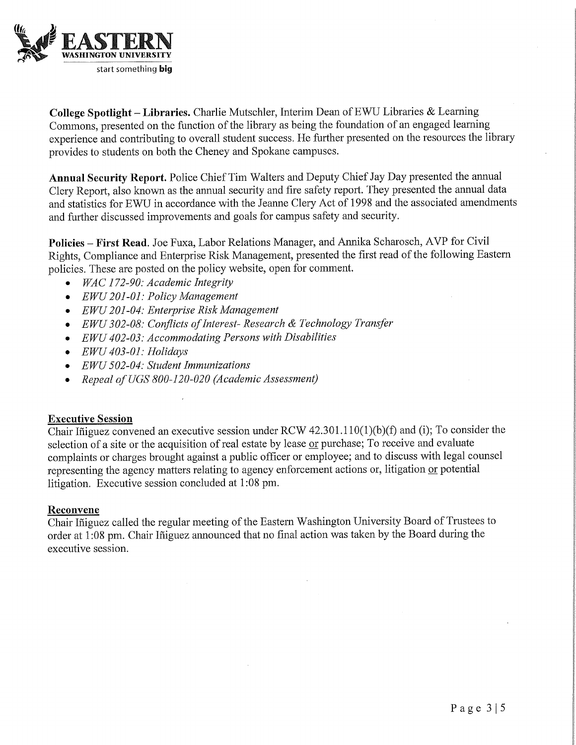

College Spotlight - Libraries. Charlie Mutschler, Interim Dean of EWU Libraries  $\&$  Learning Commons, presented on the function of the library as being the foundation of an engaged learning experience and contributing to overall student success. He further presented on the resources the library provides to students on both the Cheney and Spokane campuses.

Annual Security Report. Police Chief Tim Walters and Deputy Chief Jay Day presented the annual Clery Report, also known as the annual security and fire safety report. They presented the annual data and statistics for EWU in accordance with the Jeanne Clery Act of 1998 and the associated amendments and further discussed improvements and goals for campus safety and security.

Policies - First Read. Joe Fuxa, Labor Relations Manager, and Annika Scharosch, AVP for Civil Rights, Compliance and Enterprise Risk Management, presented the first read of the following Eastern policies. These are posted on the policy website, open for comment.

- WAC 172-90: Academic Integrity
- EWU 201-01: Policy Management
- EWU 201-04: Enterprise Risk Management
- EWU 302-08: Conflicts of Interest- Research & Technology Transfer
- EWU 402-03: Accommodating Persons with Disabilities
- EWU 403-01: Holidays
- EWU 502-04: Student Immunizations
- Repeal of UGS 800-120-020 (Academic Assessment)

## Executive Session

Chair Iñiguez convened an executive session under RCW  $42.301.110(1)(b)(f)$  and (i); To consider the selection of a site or the acquisition of real estate by lease or purchase; To receive and evaluate complaints or charges brought against a public officer or employee; and to discuss with legal counsel representing the agency matters relating to agency enforcement actions or, litigation or potential litigation. Executive session concluded at 1:08 pm.

#### Reconvene

Chair Iñiguez called the regular meeting of the Eastern Washington University Board of Trustees to order at 1:08 pm. Chair Iñiguez announced that no final action was taken by the Board during the executive session.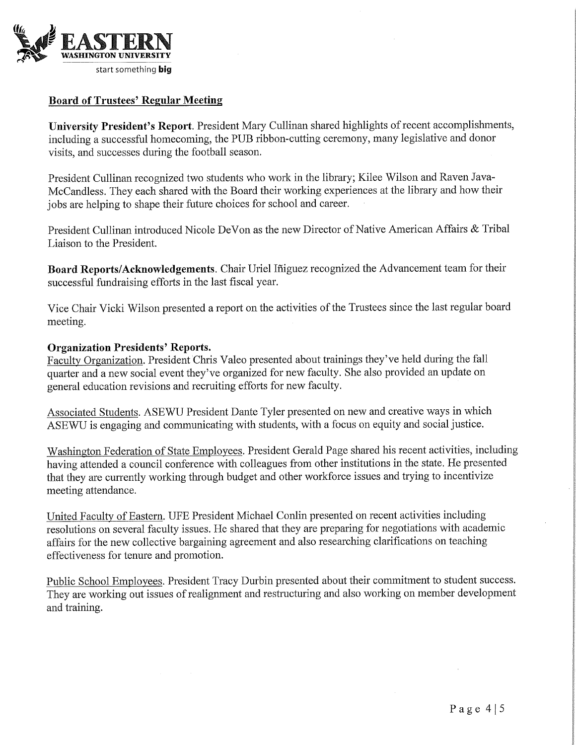

## Board of Trustees' Regular Meeting

University President's Report. President Mary Cullinan shared highlights of recent accomplishments, including a successful homecoming, the PUB ribbon-cutting ceremony, many legislative and donor visits, and successes during the football season.

President Cullinan recognized two students who work in the library; Kilee Wilson and Raven Java-McCandless. They each shared with the Board their working experiences at the library and how their jobs are helping to shape their future choices for school and career.

President Cullinan introduced Nicole DeVon as the new Director of Native American Affairs & Tribal Liaison to the President.

Board Reports/Acknowledgements. Chair Uriel Ifiiguez recognized the Advancement team for their successful fundraising efforts in the last fiscal year.

Vice Chair Vicki Wilson presented a report on the activities of the Trustees since the last regular board meeting.

#### Organization Presidents' Reports.

Faculty Organization. President Chris Valeo presented about trainings they've held during the fall quarter and a new social event they've organized for new faculty. She also provided an update on general education revisions and recruiting efforts for new faculty.

Associated Students. ASEWU President Dante Tyler presented on new and creative ways in which ASEWU is engaging and communicating with students, with a focus on equity and social justice.

Washington Federation of State Employees. President Gerald Page shared his recent activities, including having attended a council conference with colleagues from other institutions in the state. He presented that they are currently working through budget and other workforce issues and trying to incentivize meeting attendance.

United Faculty of Eastern. UFE President Michael Conlin presented on recent activities including resolutions on several faculty issues. He shared that they are preparing for negotiations with academic affairs for the new collective bargaining agreement and also researching clarifications on teaching effectiveness for tenure and promotion.

Public School Employees. President Tracy Durbin presented about their commitment to student success. They are working out issues of realignment and restructuring and also working on member development and training.